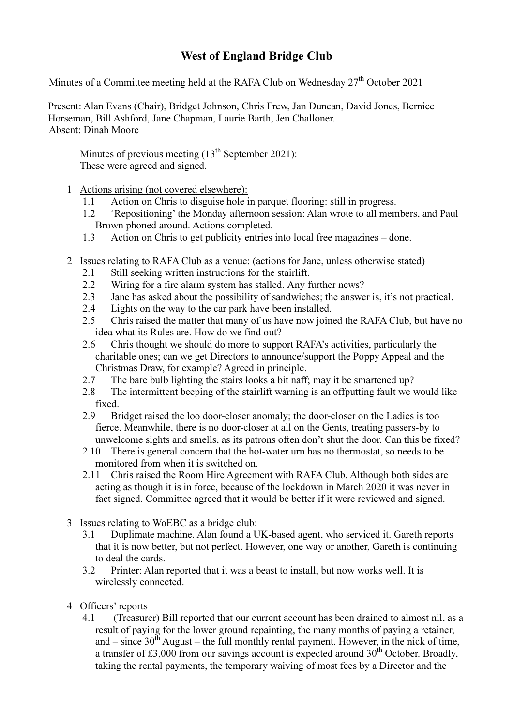## West of England Bridge Club

Minutes of a Committee meeting held at the RAFA Club on Wednesday  $27<sup>th</sup>$  October 2021

Present: Alan Evans (Chair), Bridget Johnson, Chris Frew, Jan Duncan, David Jones, Bernice Horseman, Bill Ashford, Jane Chapman, Laurie Barth, Jen Challoner. Absent: Dinah Moore

Minutes of previous meeting  $(13<sup>th</sup>$  September 2021): These were agreed and signed.

- 1 Actions arising (not covered elsewhere):
	- 1.1 Action on Chris to disguise hole in parquet flooring: still in progress.
	- 1.2 'Repositioning' the Monday afternoon session: Alan wrote to all members, and Paul Brown phoned around. Actions completed.
	- 1.3 Action on Chris to get publicity entries into local free magazines done.
- 2 Issues relating to RAFA Club as a venue: (actions for Jane, unless otherwise stated)
	- 2.1 Still seeking written instructions for the stairlift.
	- 2.2 Wiring for a fire alarm system has stalled. Any further news?
	- 2.3 Jane has asked about the possibility of sandwiches; the answer is, it's not practical.
	- 2.4 Lights on the way to the car park have been installed.
	- 2.5 Chris raised the matter that many of us have now joined the RAFA Club, but have no idea what its Rules are. How do we find out?
	- 2.6 Chris thought we should do more to support RAFA's activities, particularly the charitable ones; can we get Directors to announce/support the Poppy Appeal and the Christmas Draw, for example? Agreed in principle.
	- 2.7 The bare bulb lighting the stairs looks a bit naff; may it be smartened up?
	- 2.8 The intermittent beeping of the stairlift warning is an offputting fault we would like fixed.
	- 2.9 Bridget raised the loo door-closer anomaly; the door-closer on the Ladies is too fierce. Meanwhile, there is no door-closer at all on the Gents, treating passers-by to unwelcome sights and smells, as its patrons often don't shut the door. Can this be fixed?
	- 2.10 There is general concern that the hot-water urn has no thermostat, so needs to be monitored from when it is switched on.
	- 2.11 Chris raised the Room Hire Agreement with RAFA Club. Although both sides are acting as though it is in force, because of the lockdown in March 2020 it was never in fact signed. Committee agreed that it would be better if it were reviewed and signed.
- 3 Issues relating to WoEBC as a bridge club:
	- 3.1 Duplimate machine. Alan found a UK-based agent, who serviced it. Gareth reports that it is now better, but not perfect. However, one way or another, Gareth is continuing to deal the cards.
	- 3.2 Printer: Alan reported that it was a beast to install, but now works well. It is wirelessly connected.
- 4 Officers' reports
	- 4.1 (Treasurer) Bill reported that our current account has been drained to almost nil, as a result of paying for the lower ground repainting, the many months of paying a retainer, and – since  $30<sup>th</sup>$  August – the full monthly rental payment. However, in the nick of time, a transfer of £3,000 from our savings account is expected around  $30<sup>th</sup>$  October. Broadly, taking the rental payments, the temporary waiving of most fees by a Director and the